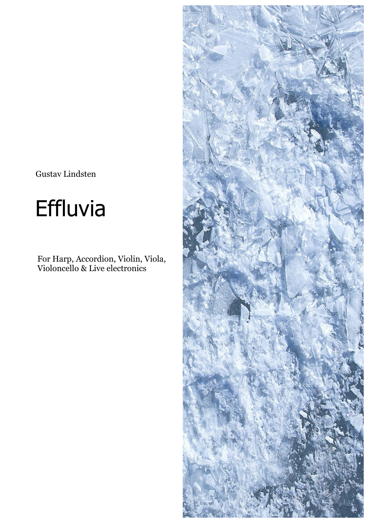For Harp, Accordion, Violin, Viola, Violoncello & Live electronics



Gustav Lindsten

# Effluvia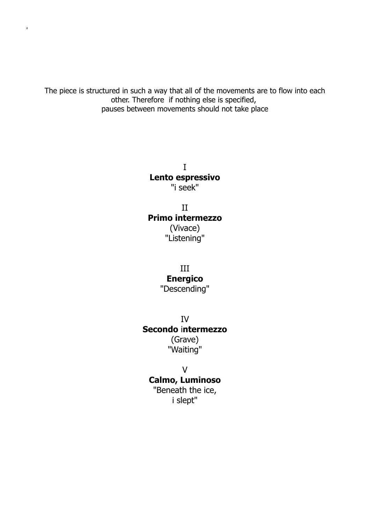2

The piece is structured in such a way that all of the movements are to flow into each other. Therefore if nothing else is specified, pauses between movements should not take place

> I **Lento espressivo** "i seek"

II **Primo intermezzo** (Vivace) "Listening"

> III **Energico** "Descending"

IV **Secondo** i**ntermezzo** (Grave) "Waiting"

V **Calmo, Luminoso** "Beneath the ice,

## i slept"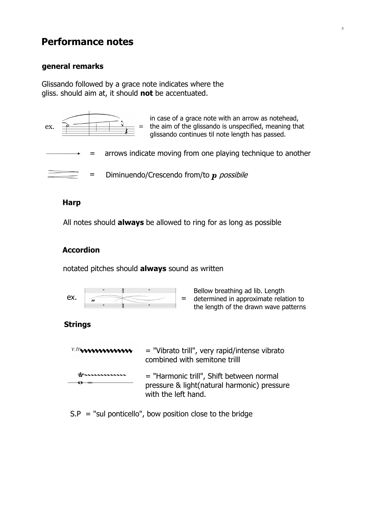with the light

#### **Accordion**

#### **Harp**

#### **Strings**

S.P = "sul ponticello" , bow position close to the bridge

| <br>pp |  |
|--------|--|
|        |  |

| v.tr                                        | $=$ "Vibrato trill", very rapid/intense vibrato<br>combined with semitone trilll                                |
|---------------------------------------------|-----------------------------------------------------------------------------------------------------------------|
| grummun<br>$\mathbf{\Theta}\longrightarrow$ | $=$ "Harmonic trill", Shift between normal<br>pressure & light(natural harmonic) pressure<br>with the left hand |

Bellow breathing ad lib. Length = determined in approximate relation to the length of the drawn wave patterns

#### **general remarks**



Glissando followed by a grace note indicates where the gliss. should aim at, it should **not** be accentuated.

All notes should **always** be allowed to ring for as long as possible

notated pitches should **always** sound as written

## **Performance notes**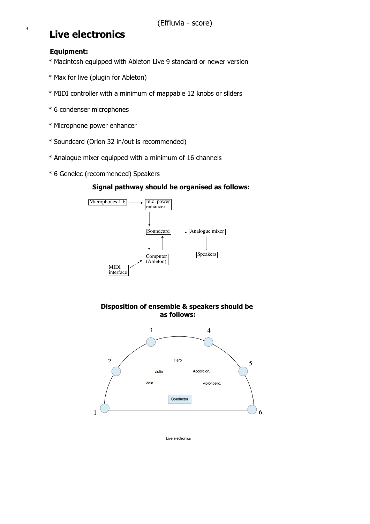4



Live electronics

#### **Disposition of ensemble & speakers should be as follows:**

### **Live electronics**

#### **Signal pathway should be organised as follows:**

#### **Equipment:**



- \* Macintosh equipped with Ableton Live 9 standard or newer version
- \* Max for live (plugin for Ableton)
- \* MIDI controller with a minimum of mappable 12 knobs or sliders
- \* 6 condenser microphones
- \* Microphone power enhancer
- \* Soundcard (Orion 32 in/out is recommended)
- \* Analogue mixer equipped with a minimum of 16channels
- \* 6 Genelec (recommended) Speakers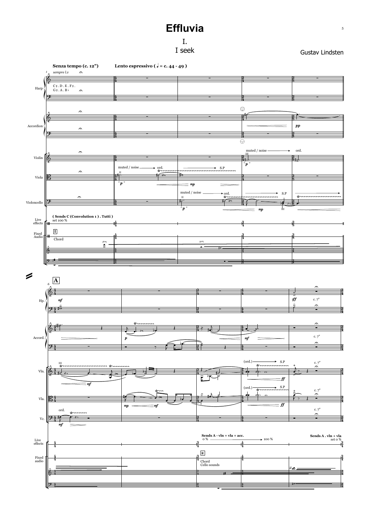# **Effluvia**

**Gustav Lindsten** 

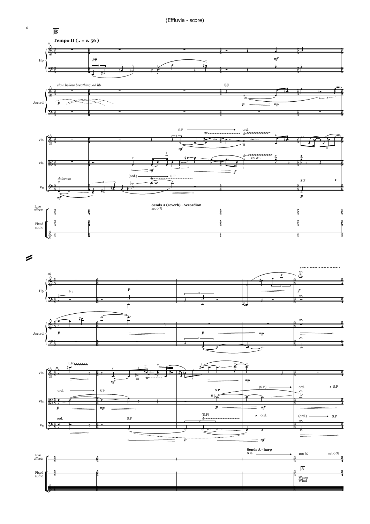

 $\frac{5}{4}$ 

 $\frac{5}{4}$ 

 $\frac{5}{4}$ 

 $\frac{5}{4}$ 

 $\frac{5}{4}$ 





∑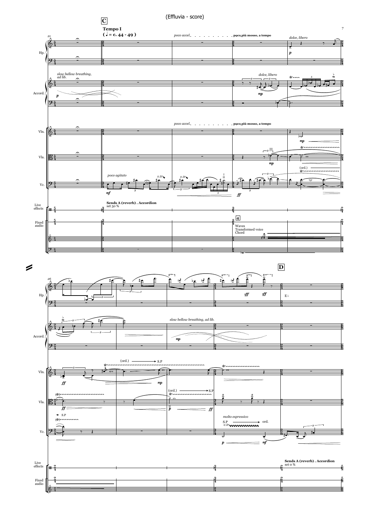

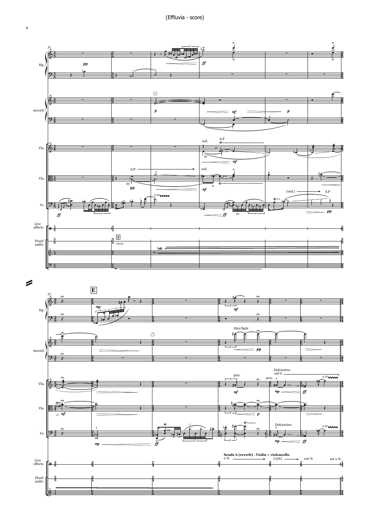



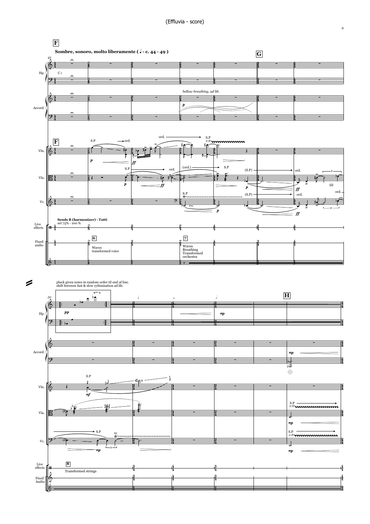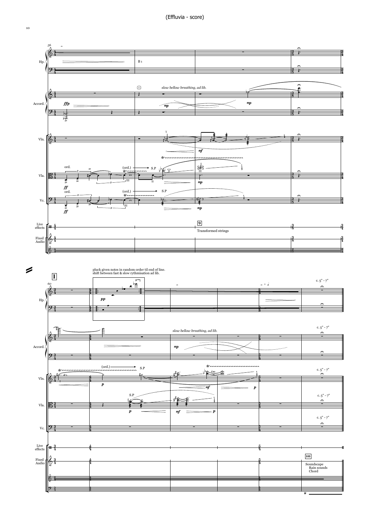

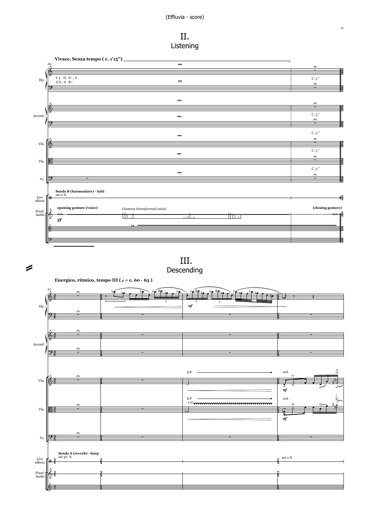

II. Listening



III. Descending

=

 $\frac{1}{2}$  $\gamma$  ${\frac{1}{2}}$ Hp. Accord. Vln.  $\frac{1}{6}$  $\circ$  and  $\bullet$  mf  $\bullet$  and  $\bullet$  and  $\bullet$  and  $\bullet$  and  $\bullet$  and  $\bullet$  and  $\bullet$  and  $\bullet$  and  $\bullet$  and  $\bullet$  and  $\bullet$  and  $\bullet$  and  $\bullet$  and  $\bullet$  and  $\bullet$  and  $\bullet$  and  $\bullet$  and  $\bullet$  and  $\bullet$  and  $\bullet$  and  $\bullet$  and  $\bullet$  and  $\bullet$  a **Energico, ritmico, tempo III (** <sup>q</sup> **<sup>=</sup> c. <sup>60</sup> - <sup>63</sup> )** *67* $\circ$  mf  $\frac{3}{8}$  $\frac{3}{4}$ ,  $\frac{3}{4}$ ,  $\frac{3}{4}$ ,  $\frac{3}{4}$ ,  $\frac{3}{4}$ ,  $\frac{3}{4}$ ,  $\frac{3}{4}$ ,  $\frac{3}{4}$ ,  $\frac{3}{4}$ ,  $\frac{3}{4}$ ,  $\frac{3}{4}$ ,  $\frac{3}{4}$ ,  $\frac{3}{4}$ ,  $\frac{3}{4}$ ,  $\frac{3}{4}$ ,  $\frac{3}{4}$ ,  $\frac{3}{4}$ ,  $\frac{3}{4}$ ,  $\frac{3}{4}$ ,  $\frac{3}{4}$ ,  $\frac{1}{4}$  be  $\frac{1}{4}$  $\frac{3}{8}$  $\frac{3}{4}$  2  $\tilde{h}$  $\frac{3}{8}$  $\frac{3}{4}$  $\tilde{4}$  $\frac{3}{8}$  $\frac{1}{4}$  $\tilde{a}$  $\frac{3}{8}$  $\frac{3}{4}$  $\tilde{i}$   $\overline{a}$  $\lambda$  3  $\lambda$  3  $\lambda$  $\overline{3}$   $\overline{5}$   $\overline{5}$   $\overline{5}$   $\overline{5}$  $2^3$   $2$   $3$  $\frac{2}{\sqrt{2}}$   $\frac{2}{\sqrt{2}}$   $\frac{2}{\sqrt{2}}$   $\frac{2}{\sqrt{2}}$   $\frac{2}{\sqrt{2}}$   $\frac{2}{\sqrt{2}}$   $\frac{2}{\sqrt{2}}$   $\frac{2}{\sqrt{2}}$   $\frac{2}{\sqrt{2}}$   $\frac{2}{\sqrt{2}}$   $\frac{2}{\sqrt{2}}$   $\frac{2}{\sqrt{2}}$   $\frac{2}{\sqrt{2}}$   $\frac{2}{\sqrt{2}}$   $\frac{2}{\sqrt{2}}$   $\frac{2}{\sqrt{2}}$   $\frac{2}{\sqrt{2}}$   $\begin{array}{ccc} \& 3 & \hat{ } & \ \& 3 & \end{array}$  $\frac{2}{4}$  $\mathcal{P}^3$   $\qquad \qquad$  3  $\frac{2}{\lambda}$  $\begin{matrix} \& 3 & \cdots & \cdots & \cdots \ \& 8 & \cdots & \cdots & \cdots \end{matrix}$ ∑  $S.P \longrightarrow \text{ord.}$ IV  $\frac{1}{2}$   $\frac{1}{2}$   $\frac{1}{2}$   $\frac{1}{2}$ .<br>.<br>.  $\frac{\text{II}}{\text{III}}$  $\frac{1}{2}$  $\sum_{i=1}^{\infty}$ <u>у је т</u>  $\overrightarrow{b}$ e be $\overrightarrow{b}$ e be  $\overline{b}$ e beite  $\frac{1}{\sqrt{2}}$  $\overline{p}$  $b$ e  $b$ e  $b$  $\overline{b}$ e $\overline{c}$  $\cdot$   $\cdot$   $\cdot$   $\cdot$  $\theta$ e#e be#e  $b$ e  $\frac{b}{c}$   $\frac{a}{c}$   $\frac{b}{c}$ be  $\rightarrow$  be be  $\rightarrow$   $\rightarrow$  $\overline{b}$ e be be e  $\overrightarrow{be}$  be  $\overrightarrow{e}$  #e  $\overrightarrow{b}$   $\overrightarrow{e}$  $\epsilon$  $j \rightarrow$  $\frac{1}{\sqrt{2}}$   $\frac{1}{\sqrt{2}}$   $\frac{1}{\sqrt{2}}$   $\frac{1}{\sqrt{2}}$   $\frac{1}{\sqrt{2}}$   $\frac{1}{\sqrt{2}}$   $\frac{1}{\sqrt{2}}$   $\frac{1}{\sqrt{2}}$   $\frac{1}{\sqrt{2}}$   $\frac{1}{\sqrt{2}}$   $\frac{1}{\sqrt{2}}$   $\frac{1}{\sqrt{2}}$   $\frac{1}{\sqrt{2}}$   $\frac{1}{\sqrt{2}}$   $\frac{1}{\sqrt{2}}$   $\frac{1}{\sqrt{2}}$   $\frac{1}{\sqrt{2}}$  œ œ œ  $\frac{1}{\sqrt{2}}$   $\frac{1}{\sqrt{2}}$   $\frac{1}{\sqrt{2}}$   $\frac{1}{\sqrt{2}}$   $\frac{1}{\sqrt{2}}$   $\frac{1}{\sqrt{2}}$   $\frac{1}{\sqrt{2}}$   $\frac{1}{\sqrt{2}}$   $\frac{1}{\sqrt{2}}$   $\frac{1}{\sqrt{2}}$   $\frac{1}{\sqrt{2}}$   $\frac{1}{\sqrt{2}}$   $\frac{1}{\sqrt{2}}$   $\frac{1}{\sqrt{2}}$   $\frac{1}{\sqrt{2}}$   $\frac{1}{\sqrt{2}}$   $\frac{1}{\sqrt{2}}$   $#$  $\circ$  $#^{\circ}$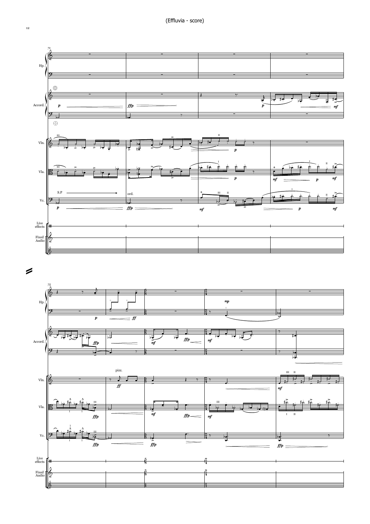(Effluvia - score)





![](_page_11_Figure_2.jpeg)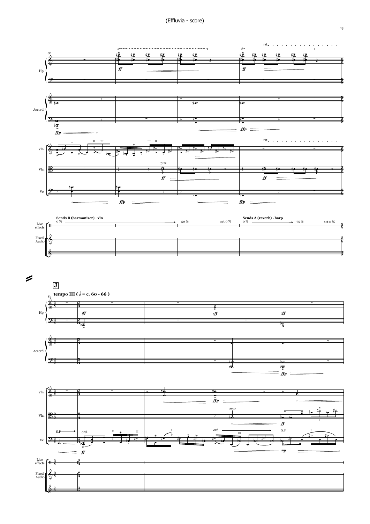![](_page_12_Figure_1.jpeg)

![](_page_12_Figure_2.jpeg)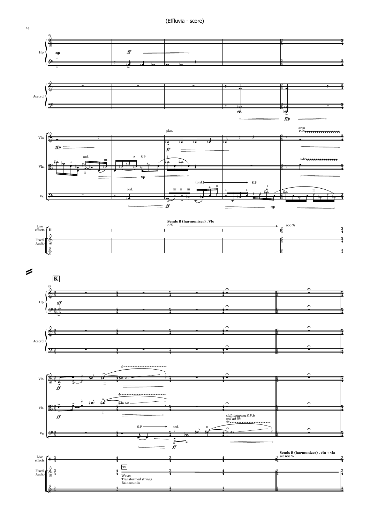![](_page_13_Figure_1.jpeg)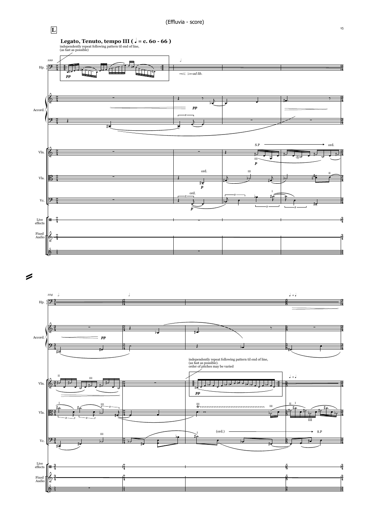![](_page_14_Figure_1.jpeg)

![](_page_14_Figure_3.jpeg)

![](_page_14_Figure_2.jpeg)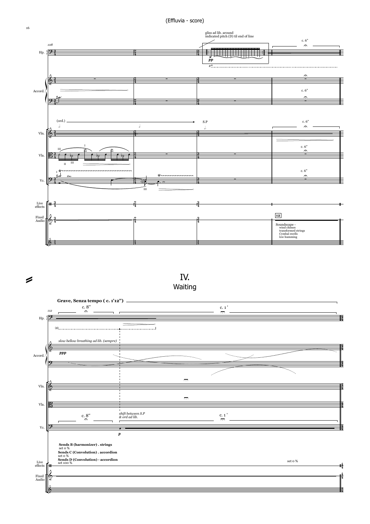![](_page_15_Figure_3.jpeg)

![](_page_15_Figure_5.jpeg)

![](_page_15_Figure_1.jpeg)

Waiting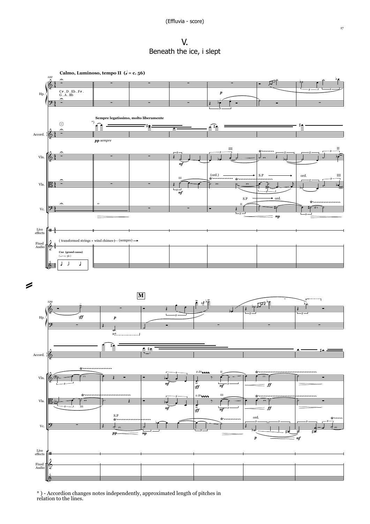![](_page_16_Figure_4.jpeg)

V. Beneath the ice, i slept

![](_page_16_Figure_2.jpeg)

\* ) -Accordion changes notes independently, approximated length of pitches in relation to the lines.

![](_page_16_Figure_3.jpeg)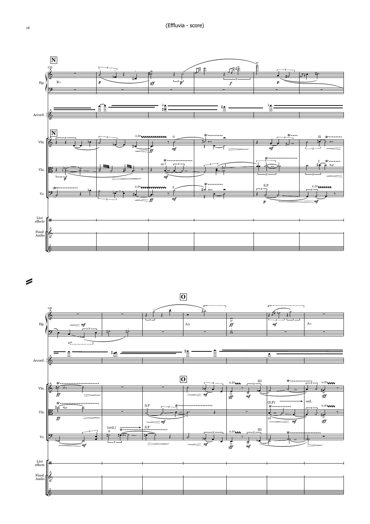(Effluvia - score)

![](_page_17_Figure_1.jpeg)

![](_page_17_Figure_2.jpeg)

=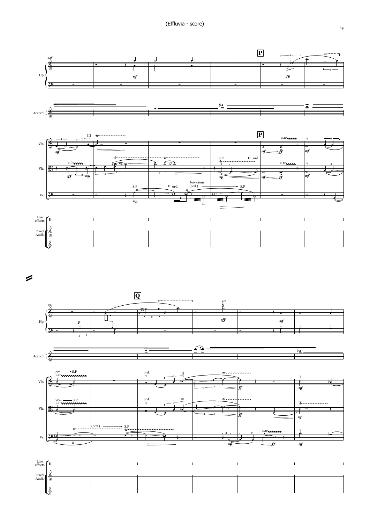![](_page_18_Figure_1.jpeg)

![](_page_18_Figure_3.jpeg)

![](_page_18_Figure_5.jpeg)

![](_page_18_Figure_2.jpeg)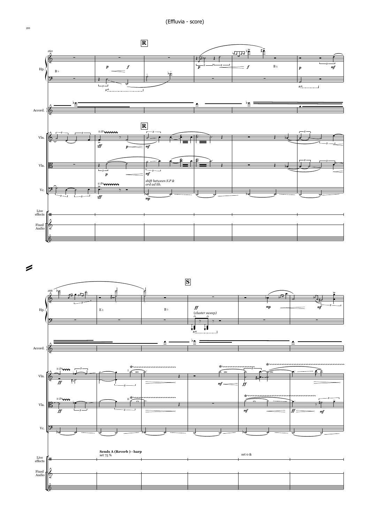![](_page_19_Figure_1.jpeg)

![](_page_19_Figure_2.jpeg)

![](_page_19_Figure_4.jpeg)

=